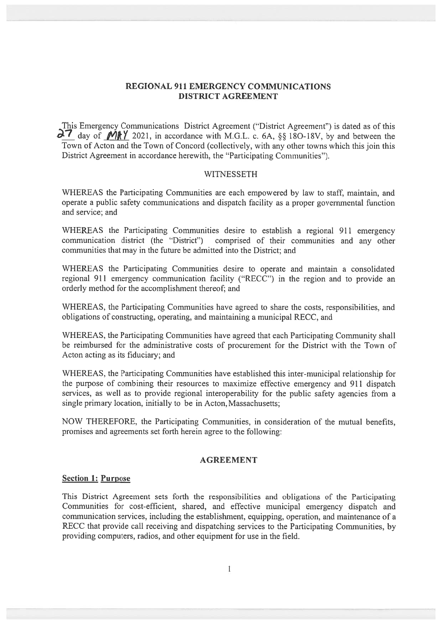# REGIONAL 911 EMERGENCY COMMUNICATIONS DISTRICT AGREEMENT

This Emergency Communications District Agreement ("District Agreement") is dated as of this  $\partial$ 7 day of  $M\$  / 2021, in accordance with M.G.L. c. 6A, §§ 180-18V, by and between the Town of Acton and the Town of Concord (collectively, with any other towns which this join this District Agreement in accordance herewith, the "Participating Communities").

### **WITNESSETH**

WHEREAS the Participating Communities are each empowered by law to staff, maintain, and operate <sup>a</sup> public safety communications and dispatch facility as <sup>a</sup> proper governmental function and service; and

WHEREAS the Participating Communities desire to establish <sup>a</sup> regional 911 emergency communication district (the 'District") comprised of their communities and any other communities that may in the future be admitted into the District; and

WHEREAS the Participating Communities desire to operate and maintain <sup>a</sup> consolidated regional 911 emergency communication facility ('RECC") in the region and to provide an orderly method for the accomplishment thereof; and

WHEREAS, the Participating Communities have agreed to share the costs, responsibilities, and obligations of constructing, operating, and maintaining <sup>a</sup> municipal RECC, and

WHEREAS, the Participating Communities have agreed that each Participating Community shall be reimbursed for the administrative costs of procuremen<sup>t</sup> for the District with the Town of Acton acting as its fiduciary; and

WHEREAS, the Participating Communities have established this inter-municipal relationship for the purpose of combining their resources to maximize effective emergency and 911 dispatch services, as well as to provide regional interoperability for the public safety agencies from <sup>a</sup> single primary location, initially to be in Acton, Massachusetts;

NOW THEREFORE, the Participating Communities, in consideration of the mutual benefits, promises and agreements set forth herein agree to the following:

# AGREEMENT

### Section 1: Purpose

This District Agreement sets forth the responsibilities and obligations of the Participating Communities for cost-efficient, shared, and effective municipal emergency dispatch and communication services, including the establishment, equipping, operation, and maintenance of <sup>a</sup> RECC that provide call receiving and dispatching services to the Participating Communities, by providing computers, radios, and other equipment for use in the field.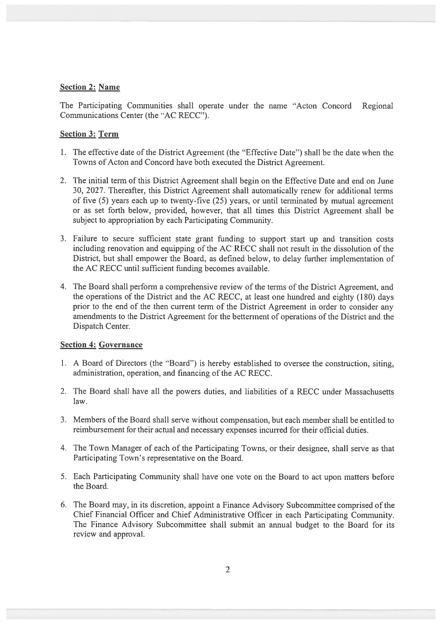## Section 2: Name

The Participating Communities shall operate under the name "Acton Concord Regional Communications Center (the "AC RECC').

# Section 3: Term

- 1. The effective date of the District Agreement (the "Effective Date") shall be the date when the Towns of Acton and Concord have both executed the District Agreement.
- 2. The initial term of this District Agreement shall begin on the Effective Date and end on June 30, 2027. Thereafter, this District Agreement shall automatically renew for additional terms of five (5) years each up to twenty-five (25) years, or until terminated by mutual agreemen<sup>t</sup> or as set forth below, provided, however, that all times this District Agreement shall be subject to appropriation by each Participating Community.
- 3. Failure to secure sufficient state gran<sup>t</sup> funding to suppor<sup>t</sup> start up and transition costs including renovation and equipping of the AC RECC shall not result in the dissolution of the District, but shall empower the Board, as defined below, to delay further implementation of the AC RECC until sufficient funding becomes available.
- 4. The Board shall perform <sup>a</sup> comprehensive review of the terms of the District Agreement, and the operations of the District and the AC RECC, at least one hundred and eighty (180) days prior to the end of the then current term of the District Agreement in order to consider any amendments to the District Agreement for the betterment of operations of the District and the Dispatch Center.

# Section 4: Governance

- 1. A Board of Directors (the "Board") is hereby established to oversee the construction, siting, administration, operation, and financing of the AC RECC.
- 2. The Board shall have all the powers duties, and liabilities of <sup>a</sup> RECC under Massachusetts law.
- 3. Members of the Board shall serve without compensation, but each member shall be entitled to reimbursement for their actual and necessary expenses incurred for their official duties.
- 4. The Town Manager of each of the Participating Towns, or their designee, shall serve as that Participating Town's representative on the Board.
- 5. Each Participating Community shall have one vote on the Board to act upon matters before the Board.
- 6. The Board may, in its discretion, appoint <sup>a</sup> Finance Advisory Subcommittee comprised of the Chief Financial Officer and Chief Administrative Officer in each Participating Community. The Finance Advisory Subcommittee shall submit an annual budget to the Board for its review and approval.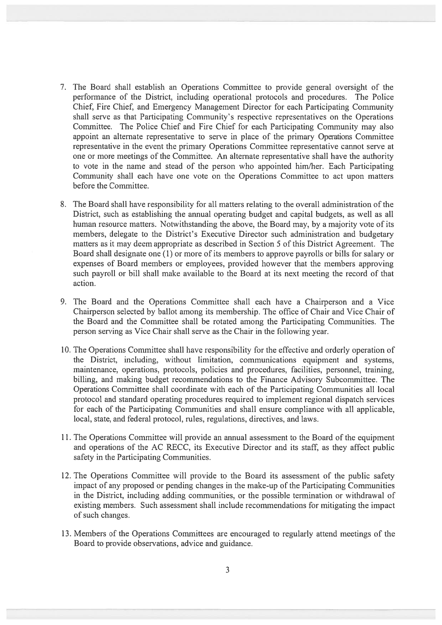- 7. The Board shall establish an Operations Committee to provide general oversight of the performance of the District, including operational protocols and procedures. The Police Chief, Fire Chief, and Emergency Management Director for each Participating Community shall serve as that Participating Community's respective representatives on the Operations Committee. The Police Chief and Fire Chief for each Participating Community may also appoint an alternate representative to serve in place of the primary Operations Committee representative in the event the primary Operations Committee representative cannot serve at one or more meetings of the Committee. An alternate representative shall have the authority to vote in the name and stead of the person who appointed him/her. Each Participating Community shall each have one vote on the Operations Committee to act upon matters before the Committee.
- 8. The Board shall have responsibility for all matters relating to the overall administration of the District, such as establishing the annual operating budget and capital budgets, as well as all human resource matters. Notwithstanding the above, the Board may, by <sup>a</sup> majority vote of its members, delegate to the District's Executive Director such administration and budgetary matters as it may deem appropriate as described in Section 5 of this District Agreement. The Board shall designate one (1) or more of its members to approve payrolls or bills for salary or expenses of Board members or employees, provided however that the members approving such payroll or bill shall make available to the Board at its next meeting the record of that action.
- 9. The Board and the Operations Committee shall each have <sup>a</sup> Chairperson and <sup>a</sup> Vice Chairperson selected by ballot among its membership. The office of Chair and Vice Chair of the Board and the Committee shall be rotated among the Participating Communities. The person serving as Vice Chair shall serve as the Chair in the following year.
- 10. The Operations Committee shall have responsibility for the effective and orderly operation of the District, including, without limitation, communications equipment and systems, maintenance, operations, protocols, policies and procedures, facilities, personnel, training, billing, and making budget recommendations to the Finance Advisory Subcommittee. The Operations Committee shall coordinate with each of the Participating Communities all local protocol and standard operating procedures required to implement regional dispatch services for each of the Participating Communities and shall ensure compliance with all applicable, local, state, and federal protocol, rules, regulations, directives, and laws.
- 11. The Operations Committee will provide an annual assessment to the Board of the equipment and operations of the AC RECC, its Executive Director and its staff, as they affect public safety in the Participating Communities.
- 12. The Operations Committee will provide to the Board its assessment of the public safety impact of any proposed or pending changes in the make-up of the Participating Communities in the District, including adding communities, or the possible termination or withdrawal of existing members. Such assessment shall include recommendations for mitigating the impact of such changes.
- 13. Members of the Operations Committees are encouraged to regularly attend meetings of the Board to provide observations, advice and guidance.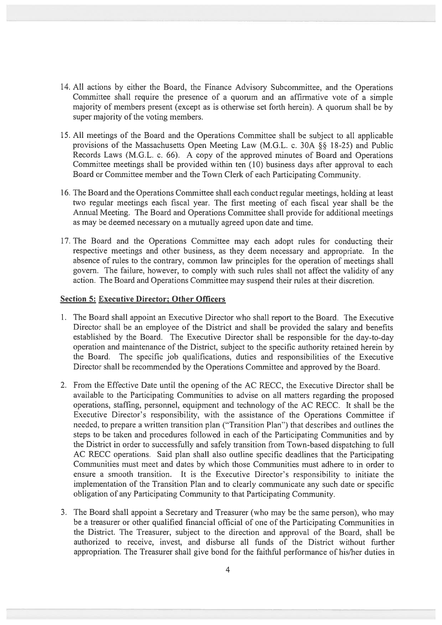- 14. All actions by either the Board, the finance Advisory Subcommittee, and the Operations Committee shall require the presence of <sup>a</sup> quorum and an affirmative vote of <sup>a</sup> simple majority of members presen<sup>t</sup> (except as is otherwise set forth herein). <sup>A</sup> quorum shall be by super majority of the voting members.
- 15. All meetings of the Board and the Operations Committee shall be subject to all applicable provisions of the Massachusetts Open Meeting Law (M.G.L. c. 30A §§ 18-25) and Public Records Laws (M.G.L. c. 66). A copy of the approved minutes of Board and Operations Committee meetings shall be provided within ten (10) business days after approval to each Board or Committee member and the Town Clerk of each Participating Community.
- 16. The Board and the Operations Committee shall each conduct regular meetings, holding at least two regular meetings each fiscal year. The first meeting of each fiscal year shall be the Annual Meeting. The Board and Operations Committee shall provide for additional meetings as may be deemed necessary on <sup>a</sup> mutually agreed upon date and time.
- 17. The Board and the Operations Committee may each adopt rules for conducting their respective meetings and other business, as they deem necessary and appropriate. In the absence of rules to the contrary, common law principles for the operation of meetings shall govern. The failure, however, to comply with such rules shall not affect the validity of any action. The Board and Operations Committee may suspend their rules at their discretion.

# Section 5: Executive Director; Other Officers

- 1. The Board shall appoint an Executive Director who shall repor<sup>t</sup> to the Board. The Executive Director shall be an employee of the District and shall be provided the salary and benefits established by the Board. The Executive Director shall be responsible for the day-to-day operation and maintenance of the District, subject to the specific authority retained herein by the Board. The specific job qualifications, duties and responsibilities of the Executive Director shall be reconmended by the Operations Committee and approved by the Board.
- 2. from the Effective Date until the opening of the AC RECC, the Executive Director shall be available to the Participating Communities to advise on all matters regarding the proposed operations, staffing, personnel, equipment and technology of the AC RECC. It shall be the Executive Director's responsibility, with the assistance of the Operations Committee if needed, to prepare <sup>a</sup> written transition plan ("Transition Plan") that describes and outlines the steps to be taken and procedures followed in each of the Participating Communities and by the District in order to successfully and safely transition from Town-based dispatching to full AC RECC operations. Said plan shall also outline specific deadlines that the Participating Communities must meet and dates by which those Communities must adhere to in order to ensure <sup>a</sup> smooth transition. It is the Executive Director's responsibility to initiate the impLementation of the Transition Plan and to clearly communicate any such date or specific obligation of any Participating Community to that Participating Community.
- 3. The Board shall appoint <sup>a</sup> Secretary and Treasurer (who may be the same person), who may be <sup>a</sup> treasurer or other qualified financial official of one of the Participating Communities in the District. The Treasurer, subject to the direction and approval of the Board, shall be authorized to receive, invest, and disburse all funds of the District without further appropriation. The Treasurer shall give bond for the faithful performance of his/her duties in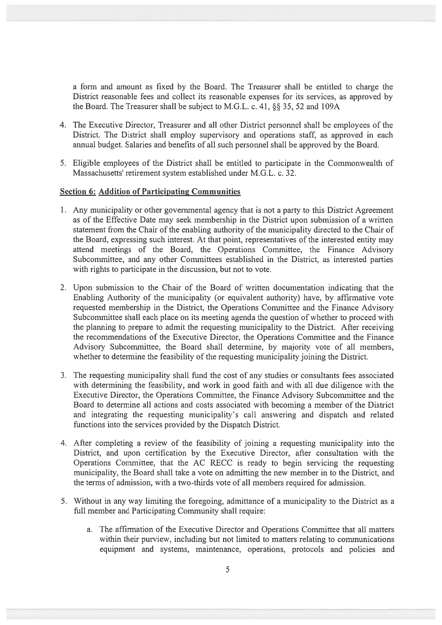<sup>a</sup> form and amount as fixed by the Board. The Treasurer shall be entitled to charge the District reasonable fees and collect its reasonable expenses for its services, as approved by the Board. The Treasurer shall be subject to M.G.L. c. 41,  $\S$ § 35, 52 and 109A

- 4. The Executive Director, Treasurer and all other District personnel shall be employees of the District. The District shall employ supervisory and operations staff, as approved in each annual budget. Salaries and benefits of all such personnel shall be approved by the Board.
- 5. Eligible employees of the District shall be entitled to participate in the Commonwealth of Massachusetts' retirement system established under M.G.L. c. 32.

#### Section 6: Addition of Participating Communities

- 1. Any municipality or other governmental agency that is not <sup>a</sup> party to this District Agreement as of the Effective Date may seek membership in the District upon submission of <sup>a</sup> written statement from the Chair of the enabling authority of the municipality directed to the Chair of the Board, expressing such interest. At that point, representatives of the interested entity may attend meetings of the Board, the Operations Committee, the Finance Advisory Subcommittee, and any other Committees established in the District, as interested parties with rights to participate in the discussion, but not to vote.
- 2. Upon submission to the Chair of the Board of written documentation indicating that the Enabling Authority of the municipality (or equivalent authority) have, by affirmative vote requested membership in the District, the Operations Committee and the finance Advisory Subcommittee shall each place on its meeting agenda the question of whether to proceed with the planning to prepare to admit the requesting municipality to the District. After receiving the recommendations of the Executive Director, the Operations Committee and the finance Advisory Subcommittee, the Board shall determine, by majority vote of all members, whether to determine the feasibility of the requesting municipality joining the District.
- 3. The requesting municipality shall fund the cost of any studies or consultants fees associated with determining the feasibility, and work in good faith and with all due diligence with the Executive Director, the Operations Committee, the finance Advisory Subcommittee and the Board to determine all actions and costs associated with becoming <sup>a</sup> member of the District and integrating the requesting municipality's call answering and dispatch and related functions into the services provided by the Dispatch District.
- 4. After completing <sup>a</sup> review of the feasibility of joining <sup>a</sup> requesting municipality into the District, and upon certification by the Executive Director, after consultation with the Operations Committee, that the AC RECC is ready to begin servicing the requesting municipality, the Board shall take <sup>a</sup> vote on admitting the new member in to the District, and the terms of admission, with <sup>a</sup> two-thirds vote of all members required for admission.
- 5. Without in any way limiting the foregoing, admittance of <sup>a</sup> municipality to the District as <sup>a</sup> full member and Participating Community shall require:
	- a. The affirmation of the Executive Director and Operations Committee that all matters within their purview, including but not limited to matters relating to communications equipment and systems, maintenance, operations, protocols and policies and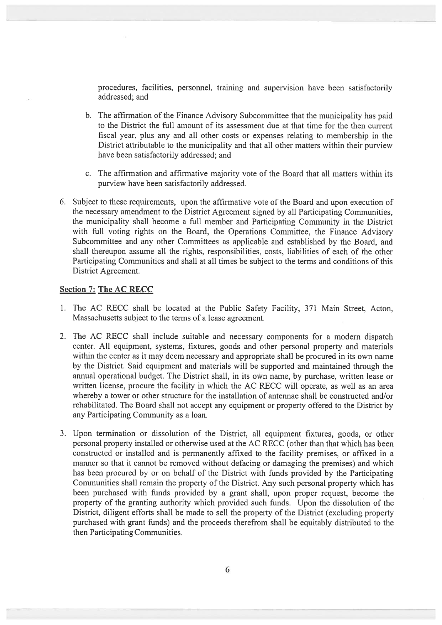procedures, facilities, personnel, training and supervision have been satisfactorily addressed; and

- b. The affirmation of the finance Advisory' Subcommittee that the municipality has paid to the District the full amount of its assessment due at that time for the then current fiscal year, plus any and all other costs or expenses relating to membership in the District attributable to the municipality and that all other matters within their purview have been satisfactorily addressed; and
- c. The affirmation and affirmative majority vote of the Board that all matters within its purview have been satisfactorily addressed.
- 6. Subject to these requirements, upon the affirmative vote of the Board and upon execution of the necessary amendment to the District Agreement signed by all Participating Communities, the municipality shall become a full member and Participating Community in the District with full voting rights on the Board, the Operations Committee, the Finance Advisory Subcommittee and any other Committees as applicable and established by the Board, and shall thereupon assume all the rights, responsibilities, costs, liabilities of each of the other Participating Communities and shall at all times be subject to the terms and conditions of this District Agreement.

#### Section 7: The AC RECC

- 1. The AC RECC shall be located at the Public Safety Facility, 371 Main Street, Acton, Massachusetts subject to the terms of <sup>a</sup> lease agreement.
- 2. The AC RECC shall include suitable and necessary components for <sup>a</sup> modern dispatch center. All equipment, systems, fixtures, goods and other personal property and materials within the center as it may deem necessary and appropriate shall be procured in its own name by the District. Said equipment and materials will be supported and maintained through the annual operational budget. The District shall, in its own name, by purchase, written lease or written license, procure the facility in which the AC RECC will operate, as well as an area whereby a tower or other structure for the installation of antennae shall be constructed and/or rehabilitated. The Board shall not accep<sup>t</sup> any equipment or property offered to the District by any Participating Community as <sup>a</sup> loan.
- 3. Upon termination or dissolution of the District, all equipment fixtures, goods, or other personal property installed or otherwise used at the AC RECC (other than that which has been constructed or installed and is permanently affixed to the facility premises, or affixed in <sup>a</sup> manner so that it cannot be removed without defacing or damaging the premises) and which has been procured by or on behalf of the District with funds provided by the Participating Communities shall remain the property of the District. Any such personal property which has been purchased with funds provided by <sup>a</sup> gran<sup>t</sup> shall, upon proper request, become the property of the granting authority which provided such funds. Upon the dissolution of the District, diligent efforts shall be made to sell the property of the District (excluding property purchased with gran<sup>t</sup> funds) and the proceeds therefrom shall be equitably distributed to the then Participating Communities.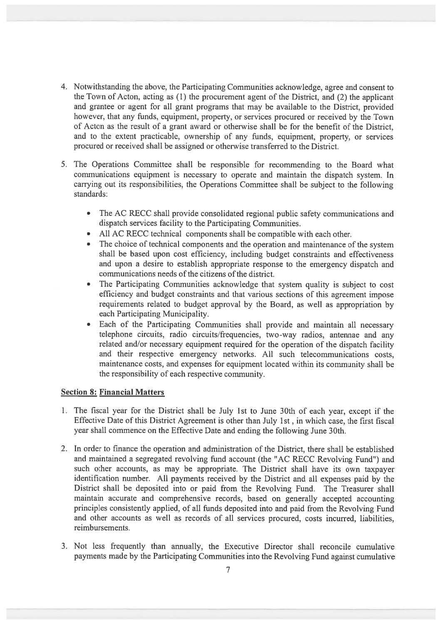- 4. Notwithstanding the above, the Participating Communities acknowledge, agree and consent to the Town of Acton, acting as (1) the procuremen<sup>t</sup> agen<sup>t</sup> of the District, and (2) the applicant and grantee or agen<sup>t</sup> for all gran<sup>t</sup> programs that may be available to the District, provided however, that any funds, equipment, property, or services procure<sup>d</sup> or received by the Town of Acton as the result of <sup>a</sup> gran<sup>t</sup> award or otherwise shall be for the benefit of the District, and to the extent practicable, ownership of any funds, equipment, property, or services procured or received shall be assigned or otherwise transferred to the District.
- 5. The Operations Committee shall be responsible for recommending to the Board what communications equipment is necessary to operate and maintain the dispatch system. In canying out its responsibilities, the Operations Committee shall be subject to the following standards:
	- • The AC RECC shall provide consolidated regional public safety communications and dispatch services facility to the Participating Communities.
	- All AC RECC technical components shall be compatible with each other.
	- The choice of technical components and the operation and maintenance of the system shall be based upon cost efficiency, including budget constraints and effectiveness and upon <sup>a</sup> desire to establish appropriate response to the emergency dispatch and communications needs of the citizens of the district.
	- •The Participating Communities acknowledge that system quality is subject to cost efficiency and budget constraints and that various sections of this agreemen<sup>t</sup> impose requirements related to budget approva<sup>l</sup> by the Board, as well as appropriation by each Participating Municipality.
	- • Each of the Participating Communities shall provide and maintain all necessary telephone circuits, radio circuits/frequencies, two-way radios, antennae and any related and/or necessary equipment required for the operation of the dispatch facility and their respective emergency networks. All such telecommunications costs, maintenance costs, and expenses for equipment located within its community shall be the responsibility of each respective community.

## Section 8: Financial Matters

- 1. The fiscal year for the District shall be July 1st to June 30th of each year, excep<sup>t</sup> if the Effective Date of this District Agreement is other than July 1St , in which case, the first fiscal year shall commence on the Effective Date and ending the following June 30th.
- 2. In order to finance the operation and administration of the District, there shall be established and maintained <sup>a</sup> segregated revolving fund account (the "AC RECC Revolving Fund") and such other accounts, as may be appropriate. The District shall have its own taxpayer identification number. All payments received by the District and all expenses paid by the District shall be deposited into or paid from the Revolving Fund. The Treasurer shall maintain accurate and comprehensive records, based on generally accepted accounting principles consistently applied, of all funds deposited into and paid from the Revolving Fund and other accounts as well as records of all services procured, costs incurred, liabilities, reimbursements.
- 3. Not less frequently than annually, the Executive Director shall reconcile cumulative payments made by the Participating Communities into the Revolving Fund against cumulative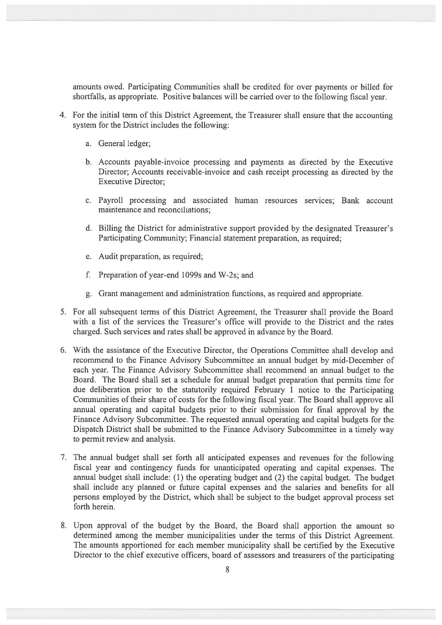amounts owed. Participating Communities shall be credited for over payments or billed for shortfalls, as appropriate. Positive balances will be carried over to the following fiscal year.

- 4. For the initial term of this District Agreement, the Treasurer shall ensure that the accounting system for the District includes the following:
	- a. General ledger;
	- b. Accounts payable-invoice processing and payments as directed by the Executive Director; Accounts receivable-invoice and cash receipt processing as directed by the Executive Director;
	- c. Payroll processing and associated human resources services; Bank account maintenance and reconciliations;
	- d. Billing the District for administrative suppor<sup>t</sup> provided by the designated Treasurer's Participating Community; Financial statement preparation, as required;
	- e. Audit preparation, as required;
	- f. Preparation of year-end 1099s and W-2s; and
	- g. Grant managemen<sup>t</sup> and administration functions, as required and appropriate.
- 5. for all subsequent terms of this District Agreement, the Treasurer shall provide the Board with <sup>a</sup> list of the services the Treasurer's office will provide to the District and the rates charged. Such services and rates shall be approved in advance by the Board.
- 6. With the assistance of the Executive Director, the Operations Committee shall develop and recommend to the Finance Advisory Subcommittee an annual budget by mid-December of each year. The Finance Advisory Subcommittee shall recommend an annual budget to the Board. The Board shall set <sup>a</sup> schedule for annual budget preparation that permits time for due deliberation prior to the statutorily required February 1 notice to the Participating Communities of their share of costs for the following fiscal year. The Board shall approve all annual operating and capital budgets prior to their submission for final approval by the Finance Advisory Subcommittee. The requested annual operating and capital budgets for the Dispatch District shall be submitted to the Finance Advisory Subcommittee in <sup>a</sup> timely way to permit review and analysis.
- 7. The annual budget shalt set forth all anticipated expenses and revenues for the foltowing fiscal year and contingency funds for unanticipated operating and capital expenses. The annual budget shalt include: (1) the operating budget and (2) the capital budget. The budget shall include any planned or future capital expenses and the salaries and benefits for all persons employed by the District, which shall be subject to the budget approval process set forth herein.
- 8. Upon approval of the budget by the Board, the Board shall apportion the amount so determined among the member municipalities under the terms of this District Agreement. The amounts apportioned for each member municipality shall be certified by the Executive Director to the chief executive officers, board of assessors and treasurers of the participating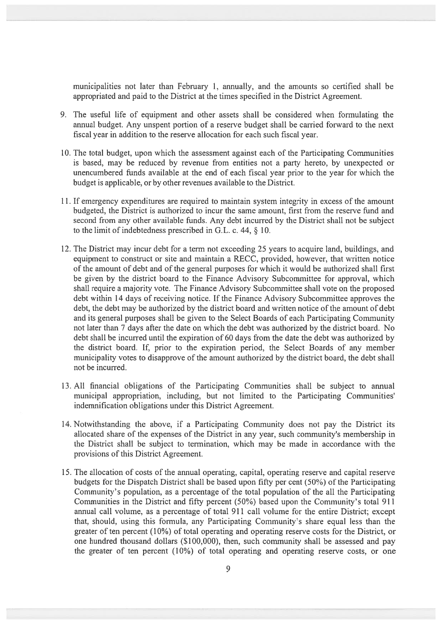municipalities not later than February 1, annually, and the amounts so certified shall be appropriated and paid to the District at the times specified in the District Agreement.

- 9. The useful life of equipment and other assets shall be considered when formulating the annual budget. Any unspen<sup>t</sup> portion of <sup>a</sup> reserve budget shall be carried forward to the next fiscal year in addition to the reserve allocation for each such fiscal year.
- 10. The total budget, upon which the assessment against each of the Participating Communities is based, may be reduced by revenue from entities not <sup>a</sup> party hereto, by unexpected or unencumbered funds available at the end of each fiscal year prior to the year for which the budget is applicable, or by other revenues available to the District.
- 11. If emergency expenditures are required to maintain system integrity in excess of the amount budgeted, the District is authorized to incur the same amount, first from the reserve fund and second from any other available funds. Any debt incurred by the District shall not be subject to the limit of indebtedness prescribed in G.L. c. 44, § 10.
- 12. The District may incur debt for <sup>a</sup> term not exceeding 25 years to acquire land, buildings, and equipment to construct or site and maintain <sup>a</sup> RECC, provided, however, that written notice of the amount of debt and of the general purposes for which it would be authorized shall first be given by the district board to the Finance Advisory Subcommittee for approval, which shall require <sup>a</sup> majority vote. The Finance Advisory Subcommittee shall vote on the proposed debt within 14 days of receiving notice. If the Finance Advisory Subcommittee approves the debt, the debt may be authorized by the district board and written notice of the amount of debt and its general purposes shall be given to the Select Boards of each Participating Community not later than 7 days after the date on which the debt was authorized by the district board. No debt shall be incurred until the expiration of 60 days from the date the debt was authorized by the district board. If, prior to the expiration period, the Select Boards of any member municipality votes to disapprove of the amount authorized by the district board, the debt shall not be incurred.
- 13. All financial obligations of the Participating Communities shall be subject to annual municipal appropriation, including, but not limited to the Participating Communities' indemnification obligations under this District Agreement.
- 14. Notwithstanding the above, if <sup>a</sup> Participating Community does not pay the District its allocated share of the expenses of the District in any year, such community's membership in the District shall be subject to termination, which may be made in accordance with the provisions of this District Agreement.
- 15. The allocation of costs of the annual operating, capital, operating reserve and capital reserve budgets for the Dispatch District shall be based upon fifty per cent (50%) of the Participating Community's population, as <sup>a</sup> percentage of the total population of the all the Participating Communities in the District and fifty percen<sup>t</sup> (50%) based upon the Community's total 911 annual call volume, as <sup>a</sup> percentage of total 911 call volume for the entire District; excep<sup>t</sup> that, should, using this formula, any Participating Community's share equal less than the greater of ten percen<sup>t</sup> (10%) of total operating and operating reserve costs for the District, or one hundred thousand dollars (\$100,000), then, such community shall be assessed and pay the greater of ten percen<sup>t</sup> (10%) of total operating and operating reserve costs, or one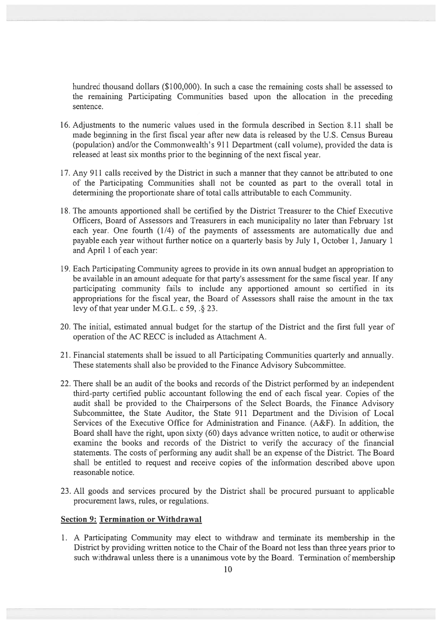hundred thousand dollars (\$100,000). In such <sup>a</sup> case the remaining costs shall be assessed to the remaining Participating Communities based upon the allocation in the preceding sentence.

- 16. Adjustments to the numeric values used in the formula described in Section 8.11 shall be made beginning in the first fiscal year after new data is released by the U.S. Census Bureau (population) and/or the Commonwealth's 911 Department (call volume), provided the data is released at least six months prior to the beginning of the next fiscal year.
- 17. Any 911 calls received by the District in such <sup>a</sup> manner that they cannot be attributed to one of the Participating Communities shall not be counted as par<sup>t</sup> to the overall total in determining the proportionate share of total calls attributable to each Community.
- 18. The amounts apportioned shall be certified by the District Treasurer to the Chief Executive Officers, Board of Assessors and Treasurers in each municipality no later than February 1St each year. One fourth (1/4) of the payments of assessments are automatically due and payable each year without further notice on <sup>a</sup> quarterly basis by July 1, October 1, January 1 and April 1 of each year:
- 19. Each Participating Community agrees to provide in its own annual budget an appropriation to be available in an amount adequate for that party's assessment for the same fiscal year. If any participating community fails to include any apportioned amount so certified in its appropriations for the fiscal year, the Board of Assessors shall raise the amount in the tax levy of that year under M.G.L. c  $59.$   $\sqrt{23}$ .
- 20. The initial, estimated annual budget for the startup of the District and the first full year of operation of the AC RECC is included as Attachment A.
- 21. Financial statements shall be issued to all Participating Communities quarterly and annually. These statements shall also be provided to the Finance Advisory Subcommittee.
- 22. There shall be an audit of the books and records of the District performed by an independent third-party certified public accountant following the end of each fiscal year. Copies of the audit shall be provided to the Chairpersons of the Select Boards, the Finance Advisory Subcommittee, the State Auditor, the State 911 Department and the Division of Local Services of the Executive Office for Administration and Finance. (A&F). In addition, the Board shall have the right, upon sixty (60) days advance written notice, to audit or otherwise examine the books and records of the District to verify the accuracy of the financial statements. The costs of performing any audit shall be an expense of the District. The Board shall be entitled to reques<sup>t</sup> and receive copies of the information described above upon reasonable notice.
- 23. All goods and services procured by the District shall be procured pursuan<sup>t</sup> to applicable procuremen<sup>t</sup> laws, rules, or regulations.

### Section 9: Termination or Withdrawal

1. A Participating Community may elect to withdraw and terminate its membership in the District by providing written notice to the Chair of the Board not less than three years prior to such withdrawal unless there is <sup>a</sup> unanimous vote by the Board. Termination of membership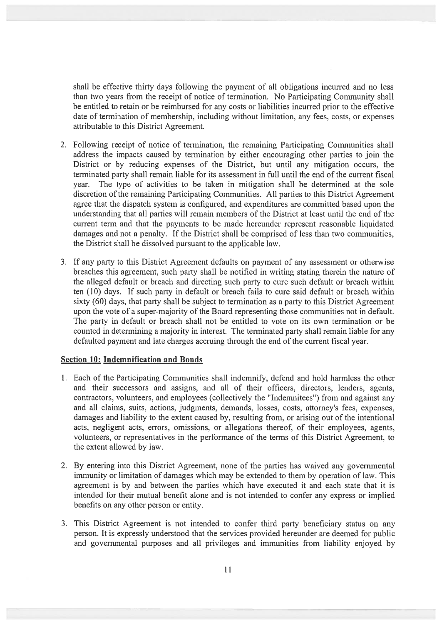shall be effective thirty days following the paymen<sup>t</sup> of all obligations incurred and no less than two years from the receipt of notice of termination. No Participating Community shall be entitled to retain or be reimbursed for any costs or liabilities incurred prior to the effective date of termination of membership, including without limitation, any fees, costs, or expenses attributable to this District Agreement.

- 2. Following receipt of notice of termination, the remaining Participating Communities shall address the impacts caused by termination by either encouraging other parties to join the District or by reducing expenses of the District, but until any mitigation occurs, the terminated party shall remain liable for its assessment in full until the end of the current fiscal year. The type of activities to be taken in mitigation shall be determined at the sole discretion of the remaining Participating Communities. All parties to this District Agreement agree that the dispatch system is configured, and expenditures are committed based upon the understanding that all parties will remain members of the District at least until the end of the current term and that the payments to be made hereunder represen<sup>t</sup> reasonable liquidated damages and not <sup>a</sup> penalty. If the District shall be comprised of less than two communities, the District shall be dissolved pursuan<sup>t</sup> to the applicable law.
- 3. If any party to this District Agreement defaults on paymen<sup>t</sup> of any assessment or otherwise breaches this agreement, such party shall be notified in writing stating therein the nature of the alleged default or breach and directing such party to cure such default or breach within ten (10) days. If such party in default or breach fails to cure said default or breach within sixty (60) days, that party shall be subject to termination as <sup>a</sup> party to this District Agreement upon the vote of <sup>a</sup> super-majority of the Board representing those communities not in default. The party in default or breach shall not be entitled to vote on its own termination or be counted in determining <sup>a</sup> majority in interest. The terminated party shall remain liable for any defaulted paymen<sup>t</sup> and late charges accruing through the end of the current fiscal year.

#### Section 10: Indemnification and Bonds

- 1. Each of the Participating Communities shall indemnify, defend and hold harmless the other and their successors and assigns, and all of their officers, directors, lenders, agents, contractors, volunteers, and employees (collectively the "Indenmitees") from and against any and all claims, suits, actions, judgments, demands, losses, costs, attorney's fees, expenses, damages and liability to the extent caused by, resulting from, or arising out of the intentional acts, negligent acts, errors, omissions, or allegations thereof, of their employees, agents, volunteers, or representatives in the performance of the terms of this District Agreement, to the extent allowed by law.
- 2. By entering into this District Agreement, none of the parties has waived any governmental immunity or limitation of damages which may be extended to them by operation of law. This agreemen<sup>t</sup> is by and between the parties which have executed it and each state that it is intended for their mutual benefit alone and is not intended to confer any express or implied benefits on any other person or entity.
- 3. This District Agreement is not intended to confer third party beneficiary status on any person. It is expressly understood that the services provided hereunder are deemed for public and governmental purposes and all privileges and immunities from liability enjoyed by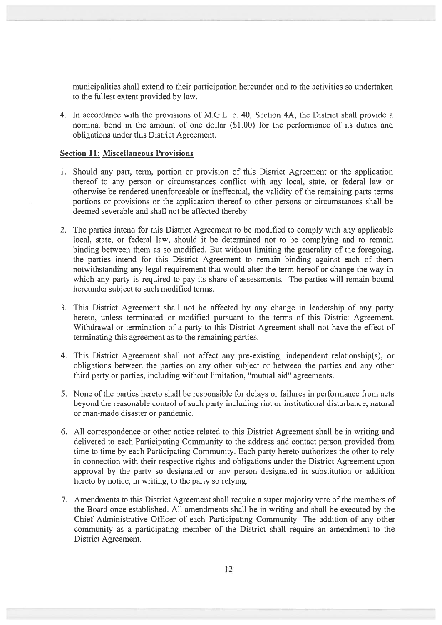municipalities shall extend to their participation hereunder and to the activities so undertaken to the fullest extent provided by law.

4. In accordance with the provisions of M.G.L. c. 40, Section 4A, the District shall provide <sup>a</sup> nominal bond in the amount of one dollar (\$1.00) for the performance of its duties and obligations under this District Agreement.

#### Section 11: Miscellaneous Provisions

- 1. Should any part, term, portion or provision of this District Agreement or the application thereof to any person or circumstances conflict with any local, state, or federal law or otherwise be rendered unenforceable or ineffectual, the validity of the remaining parts terms portions or provisions or the application thereof to other persons or circumstances shall be deemed severable and shall not be affected thereby.
- 2. The parties intend for this District Agreement to be modified to comply with any applicable local, state, or federal law, should it be determined not to be complying and to remain binding between them as so modified. But without limiting the generality of the foregoing, the parties intend for this District Agreement to remain binding against each of them notwithstanding any legal requirement that would alter the term hereof or change the way in which any party is required to pay its share of assessments. The parties will remain bound hereunder subject to such modified terms.
- 3. This District Agreement shall not be affected by any change in leadership of any party hereto, unless terminated or modified pursuan<sup>t</sup> to the terms of this District Agreement. Withdrawal or termination of <sup>a</sup> party to this District Agreement shall not have the effect of terminating this agreemen<sup>t</sup> as to the remaining parties.
- 4. This District Agreement shall not affect any pre-existing, independent relationship(s), or obligations between the parties on any other subject or between the parties and any other third party or parties, including without limitation, 'mutual aid" agreements.
- 5. None of the parties hereto shall be responsible for delays or failures in performance from acts beyond the reasonable control of such party including riot or institutional disturbance, natural or man-made disaster or pandemic.
- 6. All correspondence or other notice related to this District Agreement shall be in writing and delivered to each Participating Community to the address and contact person provided from time to time by each Participating Community. Each party hereto authorizes the other to rely in connection with their respective rights and obligations under the District Agreement upon approval by the party so designated or any person designated in substitution or addition hereto by notice, in writing, to the party so relying.
- 7. Amendments to this District Agreement shall require <sup>a</sup> super majority vote of the members of the Board once established. All amendments shall be in writing and shall be executed by the Chief Administrative Officer of each Participating Community. The addition of any other community as <sup>a</sup> participating member of the District shall require an amendment to the District Agreement.